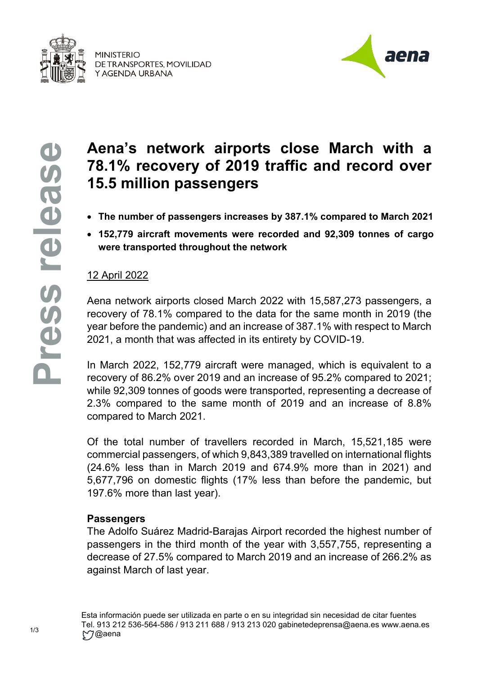

**MINISTERIO** DE TRANSPORTES, MOVILIDAD Y AGENDA URBANA



# **Aena's network airports close March with a 78.1% recovery of 2019 traffic and record over 15.5 million passengers**

- **The number of passengers increases by 387.1% compared to March 2021**
- **152,779 aircraft movements were recorded and 92,309 tonnes of cargo were transported throughout the network**

## 12 April 2022

Aena network airports closed March 2022 with 15,587,273 passengers, a recovery of 78.1% compared to the data for the same month in 2019 (the year before the pandemic) and an increase of 387.1% with respect to March 2021, a month that was affected in its entirety by COVID-19.

In March 2022, 152,779 aircraft were managed, which is equivalent to a recovery of 86.2% over 2019 and an increase of 95.2% compared to 2021; while 92,309 tonnes of goods were transported, representing a decrease of 2.3% compared to the same month of 2019 and an increase of 8.8% compared to March 2021.

Of the total number of travellers recorded in March, 15,521,185 were commercial passengers, of which 9,843,389 travelled on international flights (24.6% less than in March 2019 and 674.9% more than in 2021) and 5,677,796 on domestic flights (17% less than before the pandemic, but 197.6% more than last year).

#### **Passengers**

The Adolfo Suárez Madrid-Barajas Airport recorded the highest number of passengers in the third month of the year with 3,557,755, representing a decrease of 27.5% compared to March 2019 and an increase of 266.2% as against March of last year.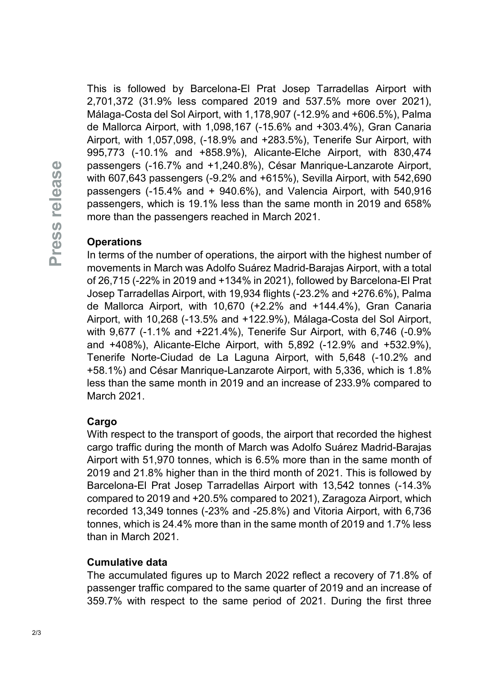This is followed by Barcelona-El Prat Josep Tarradellas Airport with 2,701,372 (31.9% less compared 2019 and 537.5% more over 2021), Málaga-Costa del Sol Airport, with 1,178,907 (-12.9% and +606.5%), Palma de Mallorca Airport, with 1,098,167 (-15.6% and +303.4%), Gran Canaria Airport, with 1,057,098, (-18.9% and +283.5%), Tenerife Sur Airport, with 995,773 (-10.1% and +858.9%), Alicante-Elche Airport, with 830,474 passengers (-16.7% and +1,240.8%), César Manrique-Lanzarote Airport, with 607,643 passengers (-9.2% and +615%), Sevilla Airport, with 542,690 passengers (-15.4% and + 940.6%), and Valencia Airport, with 540,916 passengers, which is 19.1% less than the same month in 2019 and 658% more than the passengers reached in March 2021.

## **Operations**

In terms of the number of operations, the airport with the highest number of movements in March was Adolfo Suárez Madrid-Barajas Airport, with a total of 26,715 (-22% in 2019 and +134% in 2021), followed by Barcelona-El Prat Josep Tarradellas Airport, with 19,934 flights (-23.2% and +276.6%), Palma de Mallorca Airport, with 10,670 (+2.2% and +144.4%), Gran Canaria Airport, with 10,268 (-13.5% and +122.9%), Málaga-Costa del Sol Airport, with 9,677 (-1.1% and +221.4%), Tenerife Sur Airport, with 6,746 (-0.9% and +408%), Alicante-Elche Airport, with 5,892 (-12.9% and +532.9%), Tenerife Norte-Ciudad de La Laguna Airport, with 5,648 (-10.2% and +58.1%) and César Manrique-Lanzarote Airport, with 5,336, which is 1.8% less than the same month in 2019 and an increase of 233.9% compared to March 2021.

### **Cargo**

With respect to the transport of goods, the airport that recorded the highest cargo traffic during the month of March was Adolfo Suárez Madrid-Barajas Airport with 51,970 tonnes, which is 6.5% more than in the same month of 2019 and 21.8% higher than in the third month of 2021. This is followed by Barcelona-El Prat Josep Tarradellas Airport with 13,542 tonnes (-14.3% compared to 2019 and +20.5% compared to 2021), Zaragoza Airport, which recorded 13,349 tonnes (-23% and -25.8%) and Vitoria Airport, with 6,736 tonnes, which is 24.4% more than in the same month of 2019 and 1.7% less than in March 2021.

#### **Cumulative data**

The accumulated figures up to March 2022 reflect a recovery of 71.8% of passenger traffic compared to the same quarter of 2019 and an increase of 359.7% with respect to the same period of 2021. During the first three